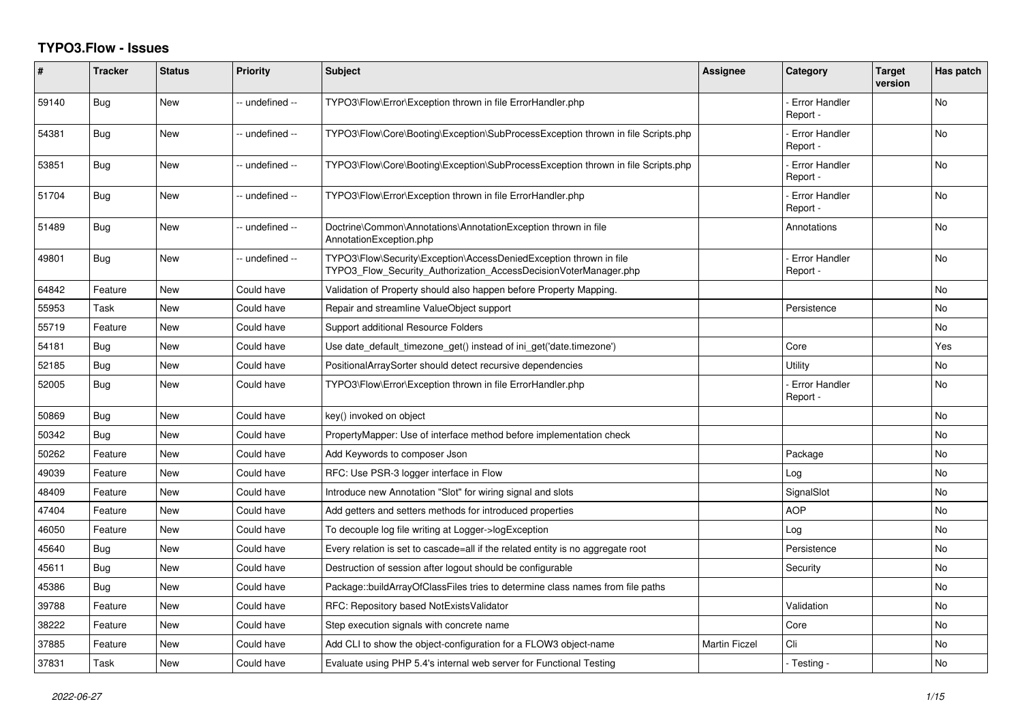## **TYPO3.Flow - Issues**

| #     | <b>Tracker</b> | <b>Status</b> | <b>Priority</b> | <b>Subject</b>                                                                                                                         | Assignee             | Category                         | Target<br>version | Has patch |
|-------|----------------|---------------|-----------------|----------------------------------------------------------------------------------------------------------------------------------------|----------------------|----------------------------------|-------------------|-----------|
| 59140 | Bug            | New           | -- undefined -- | TYPO3\Flow\Error\Exception thrown in file ErrorHandler.php                                                                             |                      | <b>Error Handler</b><br>Report - |                   | No        |
| 54381 | Bug            | New           | -- undefined -- | TYPO3\Flow\Core\Booting\Exception\SubProcessException thrown in file Scripts.php                                                       |                      | <b>Error Handler</b><br>Report - |                   | No        |
| 53851 | Bug            | <b>New</b>    | -- undefined -- | TYPO3\Flow\Core\Booting\Exception\SubProcessException thrown in file Scripts.php                                                       |                      | <b>Error Handler</b><br>Report - |                   | No        |
| 51704 | Bug            | <b>New</b>    | -- undefined -- | TYPO3\Flow\Error\Exception thrown in file ErrorHandler.php                                                                             |                      | Error Handler<br>Report -        |                   | No        |
| 51489 | <b>Bug</b>     | New           | -- undefined -- | Doctrine\Common\Annotations\AnnotationException thrown in file<br>AnnotationException.php                                              |                      | Annotations                      |                   | No        |
| 49801 | Bug            | <b>New</b>    | -- undefined -- | TYPO3\Flow\Security\Exception\AccessDeniedException thrown in file<br>TYPO3 Flow Security Authorization AccessDecisionVoterManager.php |                      | <b>Error Handler</b><br>Report - |                   | <b>No</b> |
| 64842 | Feature        | <b>New</b>    | Could have      | Validation of Property should also happen before Property Mapping.                                                                     |                      |                                  |                   | No        |
| 55953 | Task           | New           | Could have      | Repair and streamline ValueObject support                                                                                              |                      | Persistence                      |                   | No        |
| 55719 | Feature        | <b>New</b>    | Could have      | Support additional Resource Folders                                                                                                    |                      |                                  |                   | No        |
| 54181 | Bug            | <b>New</b>    | Could have      | Use date_default_timezone_get() instead of ini_get('date.timezone')                                                                    |                      | Core                             |                   | Yes       |
| 52185 | Bug            | New           | Could have      | PositionalArraySorter should detect recursive dependencies                                                                             |                      | Utility                          |                   | No        |
| 52005 | Bug            | New           | Could have      | TYPO3\Flow\Error\Exception thrown in file ErrorHandler.php                                                                             |                      | <b>Error Handler</b><br>Report - |                   | No        |
| 50869 | Bug            | <b>New</b>    | Could have      | key() invoked on object                                                                                                                |                      |                                  |                   | No        |
| 50342 | Bug            | <b>New</b>    | Could have      | PropertyMapper: Use of interface method before implementation check                                                                    |                      |                                  |                   | No        |
| 50262 | Feature        | New           | Could have      | Add Keywords to composer Json                                                                                                          |                      | Package                          |                   | No        |
| 49039 | Feature        | New           | Could have      | RFC: Use PSR-3 logger interface in Flow                                                                                                |                      | Log                              |                   | No        |
| 48409 | Feature        | New           | Could have      | Introduce new Annotation "Slot" for wiring signal and slots                                                                            |                      | SignalSlot                       |                   | No        |
| 47404 | Feature        | New           | Could have      | Add getters and setters methods for introduced properties                                                                              |                      | <b>AOP</b>                       |                   | No        |
| 46050 | Feature        | <b>New</b>    | Could have      | To decouple log file writing at Logger->logException                                                                                   |                      | Log                              |                   | No        |
| 45640 | <b>Bug</b>     | New           | Could have      | Every relation is set to cascade=all if the related entity is no aggregate root                                                        |                      | Persistence                      |                   | No        |
| 45611 | <b>Bug</b>     | New           | Could have      | Destruction of session after logout should be configurable                                                                             |                      | Security                         |                   | No        |
| 45386 | Bug            | <b>New</b>    | Could have      | Package::buildArrayOfClassFiles tries to determine class names from file paths                                                         |                      |                                  |                   | No        |
| 39788 | Feature        | New           | Could have      | RFC: Repository based NotExistsValidator                                                                                               |                      | Validation                       |                   | No        |
| 38222 | Feature        | <b>New</b>    | Could have      | Step execution signals with concrete name                                                                                              |                      | Core                             |                   | No        |
| 37885 | Feature        | New           | Could have      | Add CLI to show the object-configuration for a FLOW3 object-name                                                                       | <b>Martin Ficzel</b> | Cli                              |                   | No        |
| 37831 | Task           | <b>New</b>    | Could have      | Evaluate using PHP 5.4's internal web server for Functional Testing                                                                    |                      | - Testing -                      |                   | No        |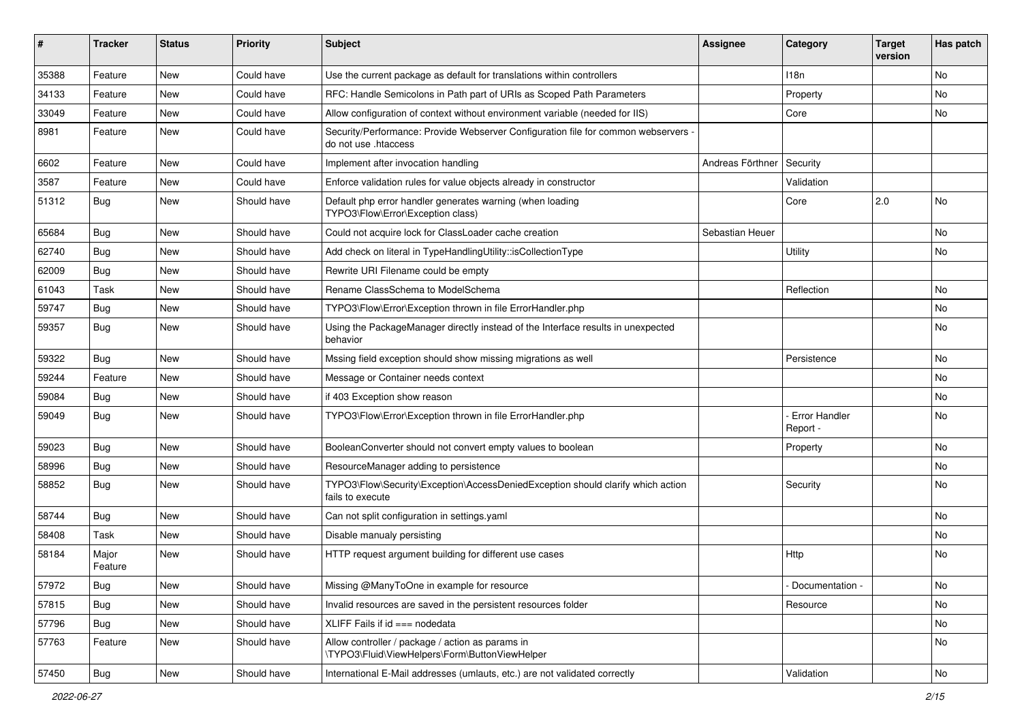| ∦     | <b>Tracker</b>   | <b>Status</b> | <b>Priority</b> | <b>Subject</b>                                                                                             | Assignee         | Category                  | <b>Target</b><br>version | Has patch |
|-------|------------------|---------------|-----------------|------------------------------------------------------------------------------------------------------------|------------------|---------------------------|--------------------------|-----------|
| 35388 | Feature          | New           | Could have      | Use the current package as default for translations within controllers                                     |                  | 118 <sub>n</sub>          |                          | <b>No</b> |
| 34133 | Feature          | New           | Could have      | RFC: Handle Semicolons in Path part of URIs as Scoped Path Parameters                                      |                  | Property                  |                          | No        |
| 33049 | Feature          | New           | Could have      | Allow configuration of context without environment variable (needed for IIS)                               |                  | Core                      |                          | No        |
| 8981  | Feature          | New           | Could have      | Security/Performance: Provide Webserver Configuration file for common webservers -<br>do not use .htaccess |                  |                           |                          |           |
| 6602  | Feature          | <b>New</b>    | Could have      | Implement after invocation handling                                                                        | Andreas Förthner | Security                  |                          |           |
| 3587  | Feature          | New           | Could have      | Enforce validation rules for value objects already in constructor                                          |                  | Validation                |                          |           |
| 51312 | <b>Bug</b>       | New           | Should have     | Default php error handler generates warning (when loading<br>TYPO3\Flow\Error\Exception class)             |                  | Core                      | 2.0                      | No        |
| 65684 | <b>Bug</b>       | <b>New</b>    | Should have     | Could not acquire lock for ClassLoader cache creation                                                      | Sebastian Heuer  |                           |                          | No        |
| 62740 | Bug              | New           | Should have     | Add check on literal in TypeHandlingUtility::isCollectionType                                              |                  | Utility                   |                          | No        |
| 62009 | Bug              | <b>New</b>    | Should have     | Rewrite URI Filename could be empty                                                                        |                  |                           |                          |           |
| 61043 | Task             | New           | Should have     | Rename ClassSchema to ModelSchema                                                                          |                  | Reflection                |                          | No        |
| 59747 | Bug              | <b>New</b>    | Should have     | TYPO3\Flow\Error\Exception thrown in file ErrorHandler.php                                                 |                  |                           |                          | No        |
| 59357 | <b>Bug</b>       | New           | Should have     | Using the PackageManager directly instead of the Interface results in unexpected<br>behavior               |                  |                           |                          | No        |
| 59322 | <b>Bug</b>       | New           | Should have     | Mssing field exception should show missing migrations as well                                              |                  | Persistence               |                          | No        |
| 59244 | Feature          | <b>New</b>    | Should have     | Message or Container needs context                                                                         |                  |                           |                          | No        |
| 59084 | <b>Bug</b>       | New           | Should have     | if 403 Exception show reason                                                                               |                  |                           |                          | No        |
| 59049 | <b>Bug</b>       | New           | Should have     | TYPO3\Flow\Error\Exception thrown in file ErrorHandler.php                                                 |                  | Error Handler<br>Report - |                          | No        |
| 59023 | Bug              | <b>New</b>    | Should have     | BooleanConverter should not convert empty values to boolean                                                |                  | Property                  |                          | <b>No</b> |
| 58996 | <b>Bug</b>       | New           | Should have     | ResourceManager adding to persistence                                                                      |                  |                           |                          | No        |
| 58852 | <b>Bug</b>       | New           | Should have     | TYPO3\Flow\Security\Exception\AccessDeniedException should clarify which action<br>fails to execute        |                  | Security                  |                          | No        |
| 58744 | <b>Bug</b>       | <b>New</b>    | Should have     | Can not split configuration in settings.yaml                                                               |                  |                           |                          | No        |
| 58408 | Task             | New           | Should have     | Disable manualy persisting                                                                                 |                  |                           |                          | No        |
| 58184 | Major<br>Feature | New           | Should have     | HTTP request argument building for different use cases                                                     |                  | Http                      |                          | No        |
| 57972 | <b>Bug</b>       | <b>New</b>    | Should have     | Missing @ManyToOne in example for resource                                                                 |                  | Documentation -           |                          | No        |
| 57815 | <b>Bug</b>       | New           | Should have     | Invalid resources are saved in the persistent resources folder                                             |                  | Resource                  |                          | No        |
| 57796 | <b>Bug</b>       | New           | Should have     | XLIFF Fails if id === nodedata                                                                             |                  |                           |                          | No        |
| 57763 | Feature          | New           | Should have     | Allow controller / package / action as params in<br>\TYPO3\Fluid\ViewHelpers\Form\ButtonViewHelper         |                  |                           |                          | No        |
| 57450 | Bug              | New           | Should have     | International E-Mail addresses (umlauts, etc.) are not validated correctly                                 |                  | Validation                |                          | No        |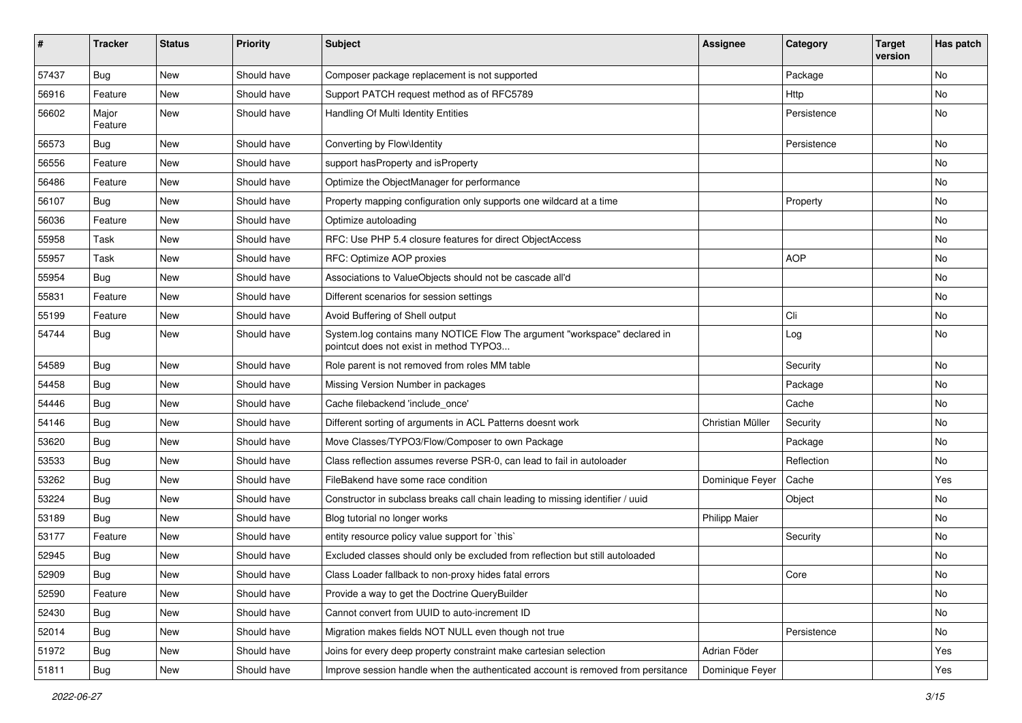| #     | <b>Tracker</b>   | <b>Status</b> | <b>Priority</b> | <b>Subject</b>                                                                                                       | Assignee             | Category    | <b>Target</b><br>version | Has patch |
|-------|------------------|---------------|-----------------|----------------------------------------------------------------------------------------------------------------------|----------------------|-------------|--------------------------|-----------|
| 57437 | Bug              | <b>New</b>    | Should have     | Composer package replacement is not supported                                                                        |                      | Package     |                          | No        |
| 56916 | Feature          | <b>New</b>    | Should have     | Support PATCH request method as of RFC5789                                                                           |                      | Http        |                          | No        |
| 56602 | Major<br>Feature | New           | Should have     | Handling Of Multi Identity Entities                                                                                  |                      | Persistence |                          | No        |
| 56573 | Bug              | <b>New</b>    | Should have     | Converting by Flow\Identity                                                                                          |                      | Persistence |                          | No        |
| 56556 | Feature          | New           | Should have     | support has Property and is Property                                                                                 |                      |             |                          | No        |
| 56486 | Feature          | New           | Should have     | Optimize the ObjectManager for performance                                                                           |                      |             |                          | No        |
| 56107 | Bug              | <b>New</b>    | Should have     | Property mapping configuration only supports one wildcard at a time                                                  |                      | Property    |                          | No        |
| 56036 | Feature          | <b>New</b>    | Should have     | Optimize autoloading                                                                                                 |                      |             |                          | No        |
| 55958 | Task             | <b>New</b>    | Should have     | RFC: Use PHP 5.4 closure features for direct ObjectAccess                                                            |                      |             |                          | No        |
| 55957 | Task             | New           | Should have     | RFC: Optimize AOP proxies                                                                                            |                      | <b>AOP</b>  |                          | No.       |
| 55954 | Bug              | New           | Should have     | Associations to ValueObjects should not be cascade all'd                                                             |                      |             |                          | No        |
| 55831 | Feature          | New           | Should have     | Different scenarios for session settings                                                                             |                      |             |                          | No        |
| 55199 | Feature          | <b>New</b>    | Should have     | Avoid Buffering of Shell output                                                                                      |                      | Cli         |                          | No        |
| 54744 | Bug              | New           | Should have     | System.log contains many NOTICE Flow The argument "workspace" declared in<br>pointcut does not exist in method TYPO3 |                      | Log         |                          | No        |
| 54589 | Bug              | <b>New</b>    | Should have     | Role parent is not removed from roles MM table                                                                       |                      | Security    |                          | No        |
| 54458 | Bug              | New           | Should have     | Missing Version Number in packages                                                                                   |                      | Package     |                          | No        |
| 54446 | Bug              | New           | Should have     | Cache filebackend 'include once'                                                                                     |                      | Cache       |                          | No        |
| 54146 | Bug              | New           | Should have     | Different sorting of arguments in ACL Patterns doesnt work                                                           | Christian Müller     | Security    |                          | No        |
| 53620 | Bug              | New           | Should have     | Move Classes/TYPO3/Flow/Composer to own Package                                                                      |                      | Package     |                          | No        |
| 53533 | Bug              | <b>New</b>    | Should have     | Class reflection assumes reverse PSR-0, can lead to fail in autoloader                                               |                      | Reflection  |                          | No        |
| 53262 | Bug              | New           | Should have     | FileBakend have some race condition                                                                                  | Dominique Feyer      | Cache       |                          | Yes       |
| 53224 | Bug              | New           | Should have     | Constructor in subclass breaks call chain leading to missing identifier / uuid                                       |                      | Object      |                          | No        |
| 53189 | Bug              | New           | Should have     | Blog tutorial no longer works                                                                                        | <b>Philipp Maier</b> |             |                          | No        |
| 53177 | Feature          | New           | Should have     | entity resource policy value support for `this`                                                                      |                      | Security    |                          | No        |
| 52945 | Bug              | New           | Should have     | Excluded classes should only be excluded from reflection but still autoloaded                                        |                      |             |                          | No        |
| 52909 | Bug              | New           | Should have     | Class Loader fallback to non-proxy hides fatal errors                                                                |                      | Core        |                          | No        |
| 52590 | Feature          | New           | Should have     | Provide a way to get the Doctrine QueryBuilder                                                                       |                      |             |                          | No        |
| 52430 | Bug              | New           | Should have     | Cannot convert from UUID to auto-increment ID                                                                        |                      |             |                          | No        |
| 52014 | Bug              | New           | Should have     | Migration makes fields NOT NULL even though not true                                                                 |                      | Persistence |                          | No        |
| 51972 | Bug              | New           | Should have     | Joins for every deep property constraint make cartesian selection                                                    | Adrian Föder         |             |                          | Yes       |
| 51811 | Bug              | New           | Should have     | Improve session handle when the authenticated account is removed from persitance                                     | Dominique Feyer      |             |                          | Yes       |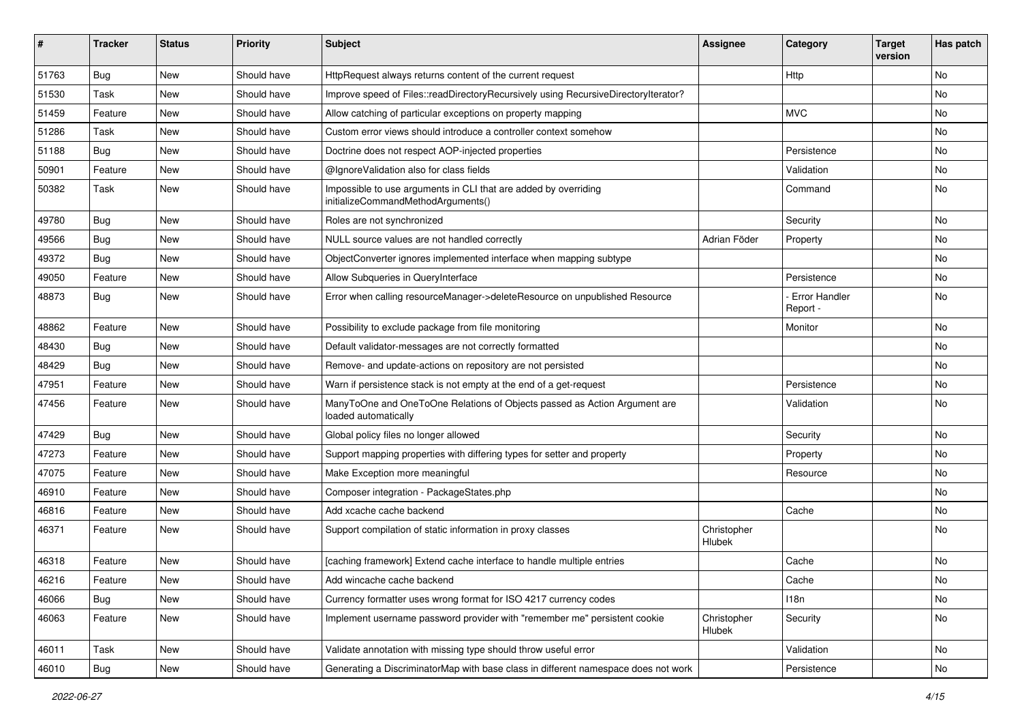| ∦     | <b>Tracker</b> | <b>Status</b> | <b>Priority</b> | <b>Subject</b>                                                                                        | <b>Assignee</b>       | Category                         | <b>Target</b><br>version | Has patch |
|-------|----------------|---------------|-----------------|-------------------------------------------------------------------------------------------------------|-----------------------|----------------------------------|--------------------------|-----------|
| 51763 | <b>Bug</b>     | New           | Should have     | HttpRequest always returns content of the current request                                             |                       | Http                             |                          | No        |
| 51530 | Task           | New           | Should have     | Improve speed of Files::readDirectoryRecursively using RecursiveDirectoryIterator?                    |                       |                                  |                          | No        |
| 51459 | Feature        | New           | Should have     | Allow catching of particular exceptions on property mapping                                           |                       | <b>MVC</b>                       |                          | No        |
| 51286 | Task           | New           | Should have     | Custom error views should introduce a controller context somehow                                      |                       |                                  |                          | No        |
| 51188 | <b>Bug</b>     | New           | Should have     | Doctrine does not respect AOP-injected properties                                                     |                       | Persistence                      |                          | No        |
| 50901 | Feature        | New           | Should have     | @IgnoreValidation also for class fields                                                               |                       | Validation                       |                          | No        |
| 50382 | Task           | New           | Should have     | Impossible to use arguments in CLI that are added by overriding<br>initializeCommandMethodArguments() |                       | Command                          |                          | No        |
| 49780 | Bug            | New           | Should have     | Roles are not synchronized                                                                            |                       | Security                         |                          | No        |
| 49566 | <b>Bug</b>     | New           | Should have     | NULL source values are not handled correctly                                                          | Adrian Föder          | Property                         |                          | No        |
| 49372 | <b>Bug</b>     | New           | Should have     | ObjectConverter ignores implemented interface when mapping subtype                                    |                       |                                  |                          | <b>No</b> |
| 49050 | Feature        | New           | Should have     | Allow Subqueries in QueryInterface                                                                    |                       | Persistence                      |                          | No        |
| 48873 | <b>Bug</b>     | New           | Should have     | Error when calling resourceManager->deleteResource on unpublished Resource                            |                       | <b>Error Handler</b><br>Report - |                          | No        |
| 48862 | Feature        | <b>New</b>    | Should have     | Possibility to exclude package from file monitoring                                                   |                       | Monitor                          |                          | No        |
| 48430 | <b>Bug</b>     | New           | Should have     | Default validator-messages are not correctly formatted                                                |                       |                                  |                          | No        |
| 48429 | Bug            | <b>New</b>    | Should have     | Remove- and update-actions on repository are not persisted                                            |                       |                                  |                          | No        |
| 47951 | Feature        | New           | Should have     | Warn if persistence stack is not empty at the end of a get-request                                    |                       | Persistence                      |                          | No        |
| 47456 | Feature        | New           | Should have     | ManyToOne and OneToOne Relations of Objects passed as Action Argument are<br>loaded automatically     |                       | Validation                       |                          | No        |
| 47429 | <b>Bug</b>     | New           | Should have     | Global policy files no longer allowed                                                                 |                       | Security                         |                          | <b>No</b> |
| 47273 | Feature        | New           | Should have     | Support mapping properties with differing types for setter and property                               |                       | Property                         |                          | No        |
| 47075 | Feature        | New           | Should have     | Make Exception more meaningful                                                                        |                       | Resource                         |                          | No        |
| 46910 | Feature        | New           | Should have     | Composer integration - PackageStates.php                                                              |                       |                                  |                          | No        |
| 46816 | Feature        | <b>New</b>    | Should have     | Add xcache cache backend                                                                              |                       | Cache                            |                          | No        |
| 46371 | Feature        | New           | Should have     | Support compilation of static information in proxy classes                                            | Christopher<br>Hlubek |                                  |                          | No        |
| 46318 | Feature        | New           | Should have     | [caching framework] Extend cache interface to handle multiple entries                                 |                       | Cache                            |                          | No        |
| 46216 | Feature        | New           | Should have     | Add wincache cache backend                                                                            |                       | Cache                            |                          | N0        |
| 46066 | <b>Bug</b>     | New           | Should have     | Currency formatter uses wrong format for ISO 4217 currency codes                                      |                       | 118n                             |                          | No        |
| 46063 | Feature        | New           | Should have     | Implement username password provider with "remember me" persistent cookie                             | Christopher<br>Hlubek | Security                         |                          | No        |
| 46011 | Task           | New           | Should have     | Validate annotation with missing type should throw useful error                                       |                       | Validation                       |                          | No        |
| 46010 | Bug            | New           | Should have     | Generating a DiscriminatorMap with base class in different namespace does not work                    |                       | Persistence                      |                          | No        |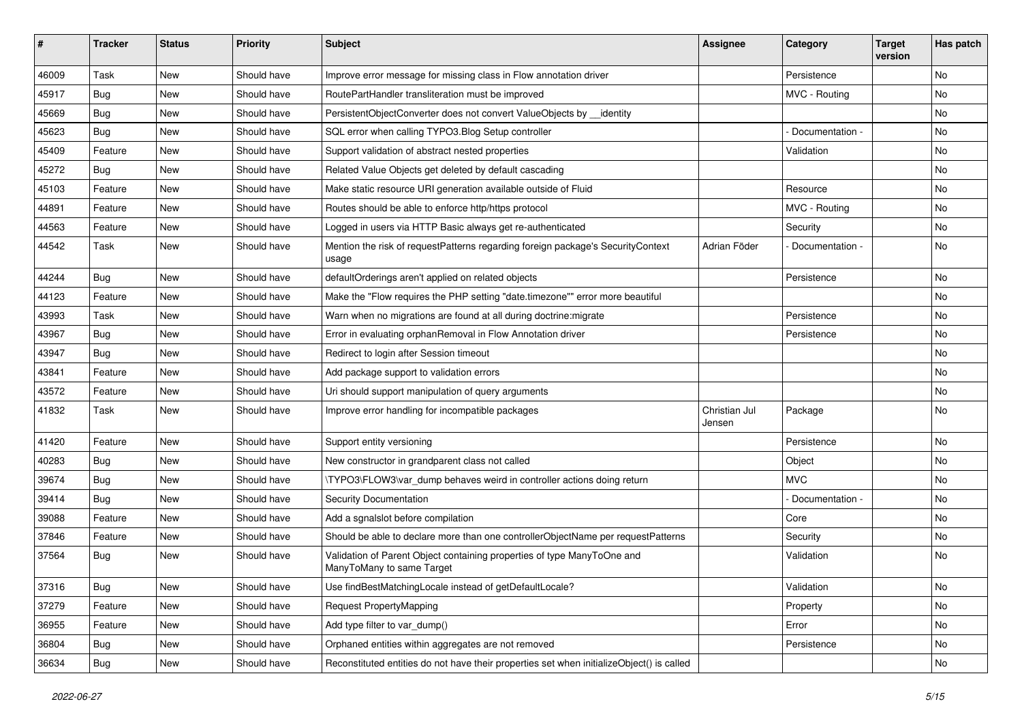| #     | <b>Tracker</b> | <b>Status</b> | <b>Priority</b> | <b>Subject</b>                                                                                       | <b>Assignee</b>         | Category        | <b>Target</b><br>version | Has patch |
|-------|----------------|---------------|-----------------|------------------------------------------------------------------------------------------------------|-------------------------|-----------------|--------------------------|-----------|
| 46009 | Task           | New           | Should have     | Improve error message for missing class in Flow annotation driver                                    |                         | Persistence     |                          | <b>No</b> |
| 45917 | <b>Bug</b>     | <b>New</b>    | Should have     | RoutePartHandler transliteration must be improved                                                    |                         | MVC - Routing   |                          | No        |
| 45669 | <b>Bug</b>     | New           | Should have     | PersistentObjectConverter does not convert ValueObjects by __identity                                |                         |                 |                          | No        |
| 45623 | <b>Bug</b>     | <b>New</b>    | Should have     | SQL error when calling TYPO3. Blog Setup controller                                                  |                         | Documentation - |                          | No        |
| 45409 | Feature        | New           | Should have     | Support validation of abstract nested properties                                                     |                         | Validation      |                          | No        |
| 45272 | <b>Bug</b>     | <b>New</b>    | Should have     | Related Value Objects get deleted by default cascading                                               |                         |                 |                          | <b>No</b> |
| 45103 | Feature        | New           | Should have     | Make static resource URI generation available outside of Fluid                                       |                         | Resource        |                          | No        |
| 44891 | Feature        | New           | Should have     | Routes should be able to enforce http/https protocol                                                 |                         | MVC - Routing   |                          | No        |
| 44563 | Feature        | New           | Should have     | Logged in users via HTTP Basic always get re-authenticated                                           |                         | Security        |                          | No        |
| 44542 | Task           | New           | Should have     | Mention the risk of requestPatterns regarding foreign package's SecurityContext<br>usage             | Adrian Föder            | Documentation - |                          | No        |
| 44244 | Bug            | <b>New</b>    | Should have     | defaultOrderings aren't applied on related objects                                                   |                         | Persistence     |                          | No        |
| 44123 | Feature        | New           | Should have     | Make the "Flow requires the PHP setting "date.timezone"" error more beautiful                        |                         |                 |                          | No        |
| 43993 | Task           | <b>New</b>    | Should have     | Warn when no migrations are found at all during doctrine: migrate                                    |                         | Persistence     |                          | <b>No</b> |
| 43967 | <b>Bug</b>     | New           | Should have     | Error in evaluating orphanRemoval in Flow Annotation driver                                          |                         | Persistence     |                          | No        |
| 43947 | <b>Bug</b>     | New           | Should have     | Redirect to login after Session timeout                                                              |                         |                 |                          | No        |
| 43841 | Feature        | <b>New</b>    | Should have     | Add package support to validation errors                                                             |                         |                 |                          | No        |
| 43572 | Feature        | New           | Should have     | Uri should support manipulation of query arguments                                                   |                         |                 |                          | No        |
| 41832 | Task           | New           | Should have     | Improve error handling for incompatible packages                                                     | Christian Jul<br>Jensen | Package         |                          | No        |
| 41420 | Feature        | New           | Should have     | Support entity versioning                                                                            |                         | Persistence     |                          | <b>No</b> |
| 40283 | <b>Bug</b>     | New           | Should have     | New constructor in grandparent class not called                                                      |                         | Object          |                          | No        |
| 39674 | <b>Bug</b>     | New           | Should have     | \TYPO3\FLOW3\var_dump behaves weird in controller actions doing return                               |                         | <b>MVC</b>      |                          | No        |
| 39414 | <b>Bug</b>     | New           | Should have     | Security Documentation                                                                               |                         | Documentation - |                          | No        |
| 39088 | Feature        | <b>New</b>    | Should have     | Add a sgnalslot before compilation                                                                   |                         | Core            |                          | No        |
| 37846 | Feature        | New           | Should have     | Should be able to declare more than one controllerObjectName per requestPatterns                     |                         | Security        |                          | No        |
| 37564 | <b>Bug</b>     | New           | Should have     | Validation of Parent Object containing properties of type ManyToOne and<br>ManyToMany to same Target |                         | Validation      |                          | No        |
| 37316 | <b>Bug</b>     | New           | Should have     | Use findBestMatchingLocale instead of getDefaultLocale?                                              |                         | Validation      |                          | No        |
| 37279 | Feature        | New           | Should have     | Request PropertyMapping                                                                              |                         | Property        |                          | No        |
| 36955 | Feature        | New           | Should have     | Add type filter to var_dump()                                                                        |                         | Error           |                          | No        |
| 36804 | <b>Bug</b>     | New           | Should have     | Orphaned entities within aggregates are not removed                                                  |                         | Persistence     |                          | No        |
| 36634 | <b>Bug</b>     | New           | Should have     | Reconstituted entities do not have their properties set when initializeObject() is called            |                         |                 |                          | No        |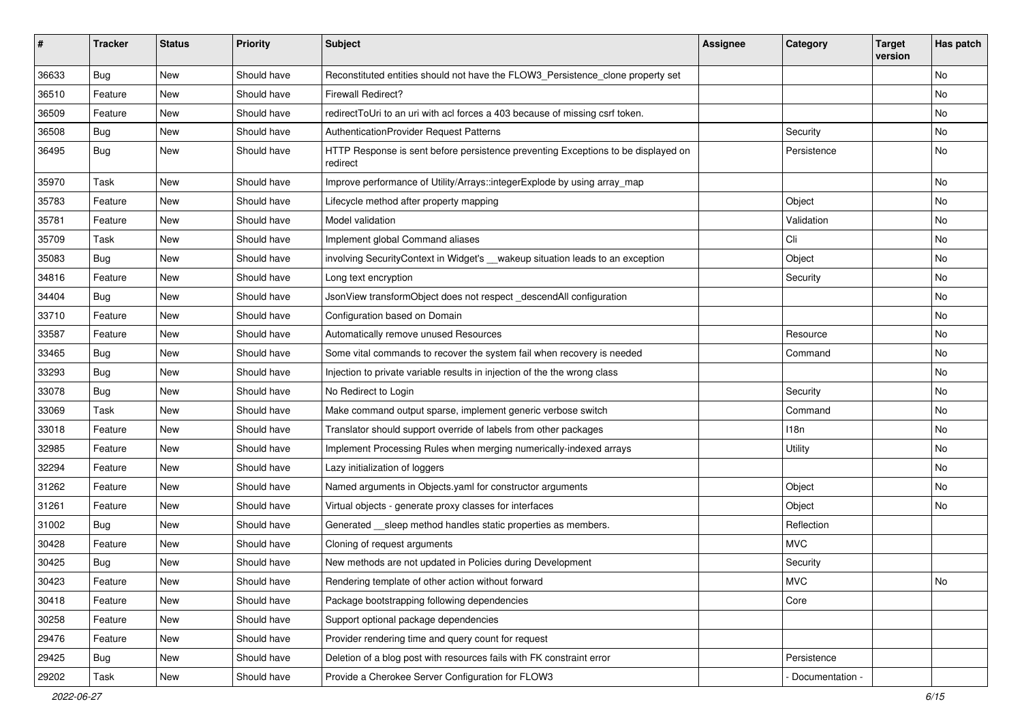| #     | <b>Tracker</b> | <b>Status</b> | <b>Priority</b> | <b>Subject</b>                                                                                | <b>Assignee</b> | Category          | <b>Target</b><br>version | Has patch |
|-------|----------------|---------------|-----------------|-----------------------------------------------------------------------------------------------|-----------------|-------------------|--------------------------|-----------|
| 36633 | Bug            | <b>New</b>    | Should have     | Reconstituted entities should not have the FLOW3_Persistence_clone property set               |                 |                   |                          | No        |
| 36510 | Feature        | New           | Should have     | <b>Firewall Redirect?</b>                                                                     |                 |                   |                          | No        |
| 36509 | Feature        | New           | Should have     | redirect ToUri to an uri with acl forces a 403 because of missing csrf token.                 |                 |                   |                          | No        |
| 36508 | Bug            | New           | Should have     | AuthenticationProvider Request Patterns                                                       |                 | Security          |                          | No        |
| 36495 | Bug            | New           | Should have     | HTTP Response is sent before persistence preventing Exceptions to be displayed on<br>redirect |                 | Persistence       |                          | No        |
| 35970 | Task           | New           | Should have     | Improve performance of Utility/Arrays::integerExplode by using array_map                      |                 |                   |                          | No        |
| 35783 | Feature        | New           | Should have     | Lifecycle method after property mapping                                                       |                 | Object            |                          | No        |
| 35781 | Feature        | New           | Should have     | Model validation                                                                              |                 | Validation        |                          | No        |
| 35709 | Task           | New           | Should have     | Implement global Command aliases                                                              |                 | Cli               |                          | No        |
| 35083 | Bug            | New           | Should have     | involving Security Context in Widget's __wakeup situation leads to an exception               |                 | Object            |                          | No        |
| 34816 | Feature        | New           | Should have     | Long text encryption                                                                          |                 | Security          |                          | No        |
| 34404 | Bug            | New           | Should have     | JsonView transformObject does not respect _descendAll configuration                           |                 |                   |                          | No        |
| 33710 | Feature        | New           | Should have     | Configuration based on Domain                                                                 |                 |                   |                          | No        |
| 33587 | Feature        | New           | Should have     | Automatically remove unused Resources                                                         |                 | Resource          |                          | No        |
| 33465 | Bug            | New           | Should have     | Some vital commands to recover the system fail when recovery is needed                        |                 | Command           |                          | No        |
| 33293 | Bug            | New           | Should have     | Injection to private variable results in injection of the the wrong class                     |                 |                   |                          | No        |
| 33078 | Bug            | New           | Should have     | No Redirect to Login                                                                          |                 | Security          |                          | No        |
| 33069 | Task           | New           | Should have     | Make command output sparse, implement generic verbose switch                                  |                 | Command           |                          | No        |
| 33018 | Feature        | New           | Should have     | Translator should support override of labels from other packages                              |                 | 118n              |                          | No        |
| 32985 | Feature        | New           | Should have     | Implement Processing Rules when merging numerically-indexed arrays                            |                 | Utility           |                          | No        |
| 32294 | Feature        | New           | Should have     | Lazy initialization of loggers                                                                |                 |                   |                          | No        |
| 31262 | Feature        | New           | Should have     | Named arguments in Objects.yaml for constructor arguments                                     |                 | Object            |                          | No        |
| 31261 | Feature        | New           | Should have     | Virtual objects - generate proxy classes for interfaces                                       |                 | Object            |                          | No        |
| 31002 | Bug            | New           | Should have     | Generated __sleep method handles static properties as members.                                |                 | Reflection        |                          |           |
| 30428 | Feature        | New           | Should have     | Cloning of request arguments                                                                  |                 | <b>MVC</b>        |                          |           |
| 30425 | <b>Bug</b>     | New           | Should have     | New methods are not updated in Policies during Development                                    |                 | Security          |                          |           |
| 30423 | Feature        | New           | Should have     | Rendering template of other action without forward                                            |                 | <b>MVC</b>        |                          | No        |
| 30418 | Feature        | New           | Should have     | Package bootstrapping following dependencies                                                  |                 | Core              |                          |           |
| 30258 | Feature        | New           | Should have     | Support optional package dependencies                                                         |                 |                   |                          |           |
| 29476 | Feature        | New           | Should have     | Provider rendering time and query count for request                                           |                 |                   |                          |           |
| 29425 | Bug            | New           | Should have     | Deletion of a blog post with resources fails with FK constraint error                         |                 | Persistence       |                          |           |
| 29202 | Task           | New           | Should have     | Provide a Cherokee Server Configuration for FLOW3                                             |                 | - Documentation - |                          |           |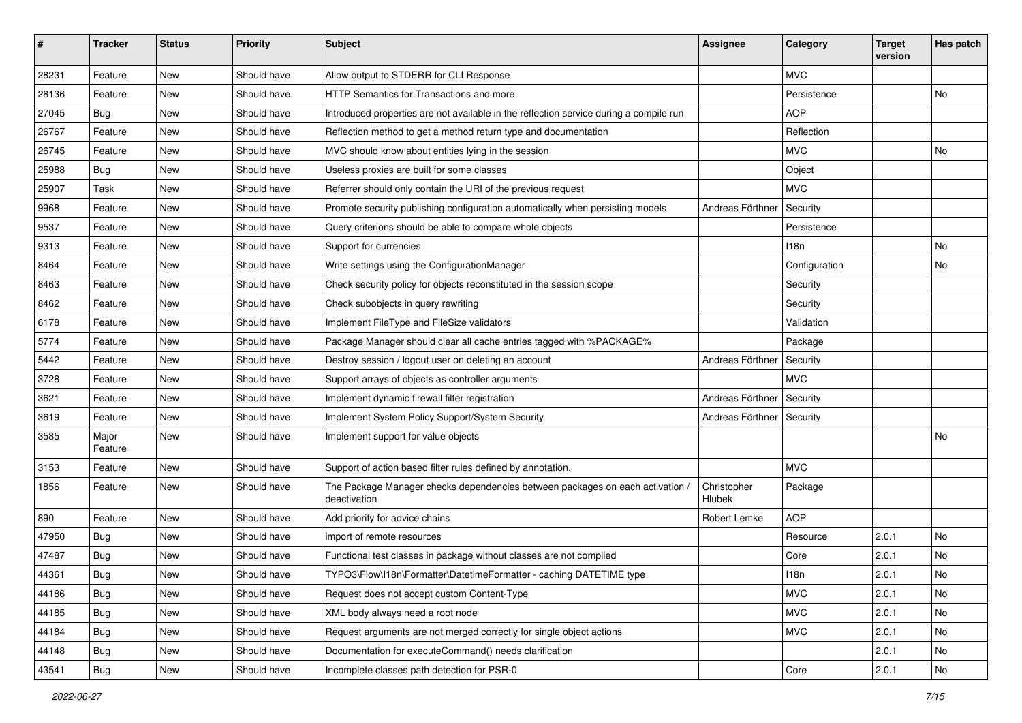| #     | <b>Tracker</b>   | <b>Status</b> | <b>Priority</b> | <b>Subject</b>                                                                                | <b>Assignee</b>       | Category      | <b>Target</b><br>version | Has patch |
|-------|------------------|---------------|-----------------|-----------------------------------------------------------------------------------------------|-----------------------|---------------|--------------------------|-----------|
| 28231 | Feature          | <b>New</b>    | Should have     | Allow output to STDERR for CLI Response                                                       |                       | <b>MVC</b>    |                          |           |
| 28136 | Feature          | New           | Should have     | <b>HTTP Semantics for Transactions and more</b>                                               |                       | Persistence   |                          | No        |
| 27045 | Bug              | New           | Should have     | Introduced properties are not available in the reflection service during a compile run        |                       | <b>AOP</b>    |                          |           |
| 26767 | Feature          | New           | Should have     | Reflection method to get a method return type and documentation                               |                       | Reflection    |                          |           |
| 26745 | Feature          | New           | Should have     | MVC should know about entities lying in the session                                           |                       | <b>MVC</b>    |                          | No        |
| 25988 | Bug              | New           | Should have     | Useless proxies are built for some classes                                                    |                       | Object        |                          |           |
| 25907 | Task             | New           | Should have     | Referrer should only contain the URI of the previous request                                  |                       | <b>MVC</b>    |                          |           |
| 9968  | Feature          | New           | Should have     | Promote security publishing configuration automatically when persisting models                | Andreas Förthner      | Security      |                          |           |
| 9537  | Feature          | New           | Should have     | Query criterions should be able to compare whole objects                                      |                       | Persistence   |                          |           |
| 9313  | Feature          | New           | Should have     | Support for currencies                                                                        |                       | 118n          |                          | No        |
| 8464  | Feature          | New           | Should have     | Write settings using the ConfigurationManager                                                 |                       | Configuration |                          | No        |
| 8463  | Feature          | New           | Should have     | Check security policy for objects reconstituted in the session scope                          |                       | Security      |                          |           |
| 8462  | Feature          | New           | Should have     | Check subobjects in query rewriting                                                           |                       | Security      |                          |           |
| 6178  | Feature          | New           | Should have     | Implement FileType and FileSize validators                                                    |                       | Validation    |                          |           |
| 5774  | Feature          | New           | Should have     | Package Manager should clear all cache entries tagged with %PACKAGE%                          |                       | Package       |                          |           |
| 5442  | Feature          | New           | Should have     | Destroy session / logout user on deleting an account                                          | Andreas Förthner      | Security      |                          |           |
| 3728  | Feature          | New           | Should have     | Support arrays of objects as controller arguments                                             |                       | <b>MVC</b>    |                          |           |
| 3621  | Feature          | New           | Should have     | Implement dynamic firewall filter registration                                                | Andreas Förthner      | Security      |                          |           |
| 3619  | Feature          | New           | Should have     | Implement System Policy Support/System Security                                               | Andreas Förthner      | Security      |                          |           |
| 3585  | Major<br>Feature | New           | Should have     | Implement support for value objects                                                           |                       |               |                          | No        |
| 3153  | Feature          | New           | Should have     | Support of action based filter rules defined by annotation.                                   |                       | <b>MVC</b>    |                          |           |
| 1856  | Feature          | New           | Should have     | The Package Manager checks dependencies between packages on each activation /<br>deactivation | Christopher<br>Hlubek | Package       |                          |           |
| 890   | Feature          | New           | Should have     | Add priority for advice chains                                                                | Robert Lemke          | <b>AOP</b>    |                          |           |
| 47950 | Bug              | New           | Should have     | import of remote resources                                                                    |                       | Resource      | 2.0.1                    | No        |
| 47487 | <b>Bug</b>       | New           | Should have     | Functional test classes in package without classes are not compiled                           |                       | Core          | 2.0.1                    | No        |
| 44361 | Bug              | New           | Should have     | TYPO3\Flow\I18n\Formatter\DatetimeFormatter - caching DATETIME type                           |                       | 118n          | 2.0.1                    | No        |
| 44186 | Bug              | New           | Should have     | Request does not accept custom Content-Type                                                   |                       | <b>MVC</b>    | 2.0.1                    | No        |
| 44185 | Bug              | New           | Should have     | XML body always need a root node                                                              |                       | <b>MVC</b>    | 2.0.1                    | No        |
| 44184 | Bug              | New           | Should have     | Request arguments are not merged correctly for single object actions                          |                       | <b>MVC</b>    | 2.0.1                    | No        |
| 44148 | Bug              | New           | Should have     | Documentation for executeCommand() needs clarification                                        |                       |               | 2.0.1                    | No        |
| 43541 | Bug              | New           | Should have     | Incomplete classes path detection for PSR-0                                                   |                       | Core          | 2.0.1                    | No        |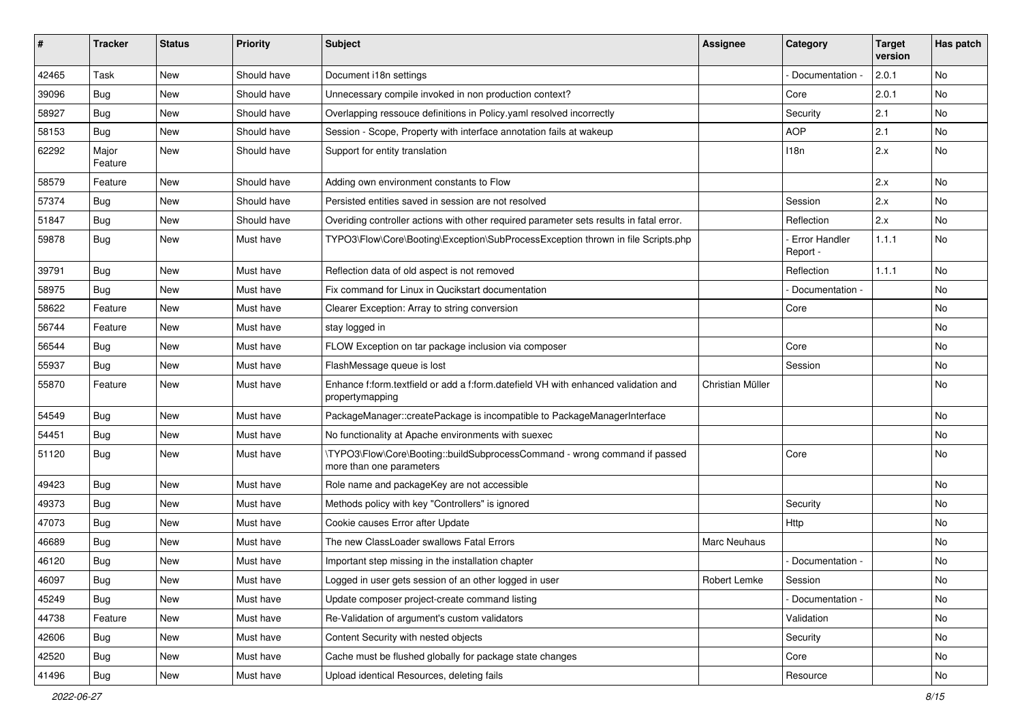| ∦     | <b>Tracker</b>   | <b>Status</b> | <b>Priority</b> | Subject                                                                                                | <b>Assignee</b>     | Category                  | <b>Target</b><br>version | Has patch |
|-------|------------------|---------------|-----------------|--------------------------------------------------------------------------------------------------------|---------------------|---------------------------|--------------------------|-----------|
| 42465 | Task             | New           | Should have     | Document i18n settings                                                                                 |                     | Documentation -           | 2.0.1                    | No        |
| 39096 | <b>Bug</b>       | New           | Should have     | Unnecessary compile invoked in non production context?                                                 |                     | Core                      | 2.0.1                    | No        |
| 58927 | <b>Bug</b>       | New           | Should have     | Overlapping ressouce definitions in Policy yaml resolved incorrectly                                   |                     | Security                  | 2.1                      | No        |
| 58153 | Bug              | New           | Should have     | Session - Scope, Property with interface annotation fails at wakeup                                    |                     | <b>AOP</b>                | 2.1                      | <b>No</b> |
| 62292 | Major<br>Feature | New           | Should have     | Support for entity translation                                                                         |                     | 118n                      | 2.x                      | No        |
| 58579 | Feature          | New           | Should have     | Adding own environment constants to Flow                                                               |                     |                           | 2.x                      | <b>No</b> |
| 57374 | <b>Bug</b>       | New           | Should have     | Persisted entities saved in session are not resolved                                                   |                     | Session                   | 2.x                      | <b>No</b> |
| 51847 | Bug              | New           | Should have     | Overiding controller actions with other required parameter sets results in fatal error.                |                     | Reflection                | 2.x                      | No        |
| 59878 | Bug              | New           | Must have       | TYPO3\Flow\Core\Booting\Exception\SubProcessException thrown in file Scripts.php                       |                     | Error Handler<br>Report - | 1.1.1                    | <b>No</b> |
| 39791 | <b>Bug</b>       | <b>New</b>    | Must have       | Reflection data of old aspect is not removed                                                           |                     | Reflection                | 1.1.1                    | <b>No</b> |
| 58975 | Bug              | New           | Must have       | Fix command for Linux in Qucikstart documentation                                                      |                     | Documentation -           |                          | No        |
| 58622 | Feature          | New           | Must have       | Clearer Exception: Array to string conversion                                                          |                     | Core                      |                          | <b>No</b> |
| 56744 | Feature          | New           | Must have       | stay logged in                                                                                         |                     |                           |                          | No        |
| 56544 | <b>Bug</b>       | New           | Must have       | FLOW Exception on tar package inclusion via composer                                                   |                     | Core                      |                          | <b>No</b> |
| 55937 | Bug              | New           | Must have       | FlashMessage queue is lost                                                                             |                     | Session                   |                          | No        |
| 55870 | Feature          | New           | Must have       | Enhance f:form.textfield or add a f:form.datefield VH with enhanced validation and<br>propertymapping  | Christian Müller    |                           |                          | No        |
| 54549 | Bug              | <b>New</b>    | Must have       | PackageManager::createPackage is incompatible to PackageManagerInterface                               |                     |                           |                          | <b>No</b> |
| 54451 | <b>Bug</b>       | New           | Must have       | No functionality at Apache environments with suexec                                                    |                     |                           |                          | No        |
| 51120 | <b>Bug</b>       | New           | Must have       | \TYPO3\Flow\Core\Booting::buildSubprocessCommand - wrong command if passed<br>more than one parameters |                     | Core                      |                          | <b>No</b> |
| 49423 | <b>Bug</b>       | New           | Must have       | Role name and packageKey are not accessible                                                            |                     |                           |                          | <b>No</b> |
| 49373 | Bug              | New           | Must have       | Methods policy with key "Controllers" is ignored                                                       |                     | Security                  |                          | No        |
| 47073 | <b>Bug</b>       | New           | Must have       | Cookie causes Error after Update                                                                       |                     | Http                      |                          | No        |
| 46689 | Bug              | New           | Must have       | The new ClassLoader swallows Fatal Errors                                                              | <b>Marc Neuhaus</b> |                           |                          | No        |
| 46120 | Bug              | New           | Must have       | Important step missing in the installation chapter                                                     |                     | Documentation -           |                          | No        |
| 46097 | Bug              | New           | Must have       | Logged in user gets session of an other logged in user                                                 | Robert Lemke        | Session                   |                          | No        |
| 45249 | <b>Bug</b>       | New           | Must have       | Update composer project-create command listing                                                         |                     | Documentation -           |                          | No        |
| 44738 | Feature          | New           | Must have       | Re-Validation of argument's custom validators                                                          |                     | Validation                |                          | No        |
| 42606 | Bug              | New           | Must have       | Content Security with nested objects                                                                   |                     | Security                  |                          | No        |
| 42520 | <b>Bug</b>       | New           | Must have       | Cache must be flushed globally for package state changes                                               |                     | Core                      |                          | No        |
| 41496 | Bug              | New           | Must have       | Upload identical Resources, deleting fails                                                             |                     | Resource                  |                          | No        |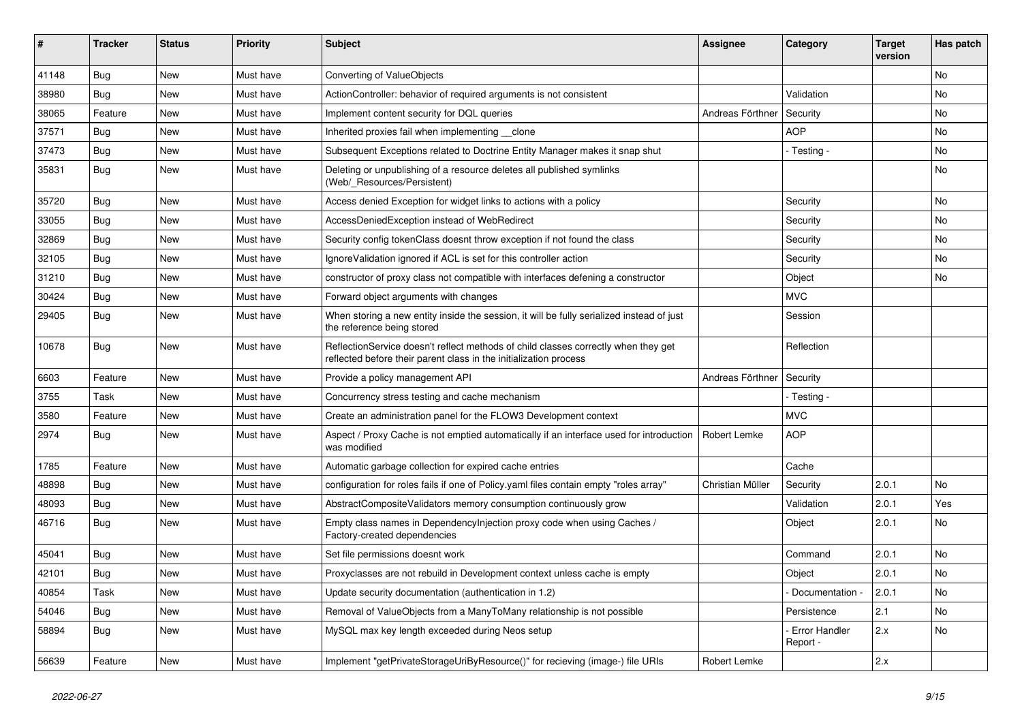| ∦     | <b>Tracker</b> | <b>Status</b> | <b>Priority</b> | Subject                                                                                                                                                 | <b>Assignee</b>  | Category                  | <b>Target</b><br>version | Has patch |
|-------|----------------|---------------|-----------------|---------------------------------------------------------------------------------------------------------------------------------------------------------|------------------|---------------------------|--------------------------|-----------|
| 41148 | Bug            | <b>New</b>    | Must have       | Converting of ValueObjects                                                                                                                              |                  |                           |                          | No        |
| 38980 | Bug            | <b>New</b>    | Must have       | ActionController: behavior of required arguments is not consistent                                                                                      |                  | Validation                |                          | No        |
| 38065 | Feature        | New           | Must have       | Implement content security for DQL queries                                                                                                              | Andreas Förthner | Security                  |                          | No        |
| 37571 | Bug            | <b>New</b>    | Must have       | Inherited proxies fail when implementing __ clone                                                                                                       |                  | <b>AOP</b>                |                          | No        |
| 37473 | Bug            | New           | Must have       | Subsequent Exceptions related to Doctrine Entity Manager makes it snap shut                                                                             |                  | - Testing -               |                          | No        |
| 35831 | Bug            | New           | Must have       | Deleting or unpublishing of a resource deletes all published symlinks<br>(Web/_Resources/Persistent)                                                    |                  |                           |                          | No        |
| 35720 | <b>Bug</b>     | <b>New</b>    | Must have       | Access denied Exception for widget links to actions with a policy                                                                                       |                  | Security                  |                          | <b>No</b> |
| 33055 | Bug            | <b>New</b>    | Must have       | AccessDeniedException instead of WebRedirect                                                                                                            |                  | Security                  |                          | No        |
| 32869 | Bug            | New           | Must have       | Security config tokenClass doesnt throw exception if not found the class                                                                                |                  | Security                  |                          | No        |
| 32105 | <b>Bug</b>     | New           | Must have       | Ignore Validation ignored if ACL is set for this controller action                                                                                      |                  | Security                  |                          | <b>No</b> |
| 31210 | Bug            | New           | Must have       | constructor of proxy class not compatible with interfaces defening a constructor                                                                        |                  | Object                    |                          | No        |
| 30424 | <b>Bug</b>     | New           | Must have       | Forward object arguments with changes                                                                                                                   |                  | <b>MVC</b>                |                          |           |
| 29405 | Bug            | New           | Must have       | When storing a new entity inside the session, it will be fully serialized instead of just<br>the reference being stored                                 |                  | Session                   |                          |           |
| 10678 | Bug            | New           | Must have       | ReflectionService doesn't reflect methods of child classes correctly when they get<br>reflected before their parent class in the initialization process |                  | Reflection                |                          |           |
| 6603  | Feature        | <b>New</b>    | Must have       | Provide a policy management API                                                                                                                         | Andreas Förthner | Security                  |                          |           |
| 3755  | Task           | New           | Must have       | Concurrency stress testing and cache mechanism                                                                                                          |                  | - Testing -               |                          |           |
| 3580  | Feature        | <b>New</b>    | Must have       | Create an administration panel for the FLOW3 Development context                                                                                        |                  | <b>MVC</b>                |                          |           |
| 2974  | <b>Bug</b>     | New           | Must have       | Aspect / Proxy Cache is not emptied automatically if an interface used for introduction<br>was modified                                                 | Robert Lemke     | <b>AOP</b>                |                          |           |
| 1785  | Feature        | New           | Must have       | Automatic garbage collection for expired cache entries                                                                                                  |                  | Cache                     |                          |           |
| 48898 | Bug            | New           | Must have       | configuration for roles fails if one of Policy yaml files contain empty "roles array"                                                                   | Christian Müller | Security                  | 2.0.1                    | No        |
| 48093 | Bug            | <b>New</b>    | Must have       | AbstractCompositeValidators memory consumption continuously grow                                                                                        |                  | Validation                | 2.0.1                    | Yes       |
| 46716 | <b>Bug</b>     | New           | Must have       | Empty class names in Dependencylnjection proxy code when using Caches /<br>Factory-created dependencies                                                 |                  | Object                    | 2.0.1                    | No        |
| 45041 | <b>Bug</b>     | <b>New</b>    | Must have       | Set file permissions doesnt work                                                                                                                        |                  | Command                   | 2.0.1                    | <b>No</b> |
| 42101 | Bug            | New           | Must have       | Proxyclasses are not rebuild in Development context unless cache is empty                                                                               |                  | Object                    | 2.0.1                    | No        |
| 40854 | Task           | New           | Must have       | Update security documentation (authentication in 1.2)                                                                                                   |                  | Documentation -           | 2.0.1                    | No        |
| 54046 | <b>Bug</b>     | New           | Must have       | Removal of ValueObjects from a ManyToMany relationship is not possible                                                                                  |                  | Persistence               | 2.1                      | No        |
| 58894 | <b>Bug</b>     | New           | Must have       | MySQL max key length exceeded during Neos setup                                                                                                         |                  | Error Handler<br>Report - | 2.x                      | No        |
| 56639 | Feature        | New           | Must have       | Implement "getPrivateStorageUriByResource()" for recieving (image-) file URIs                                                                           | Robert Lemke     |                           | 2.x                      |           |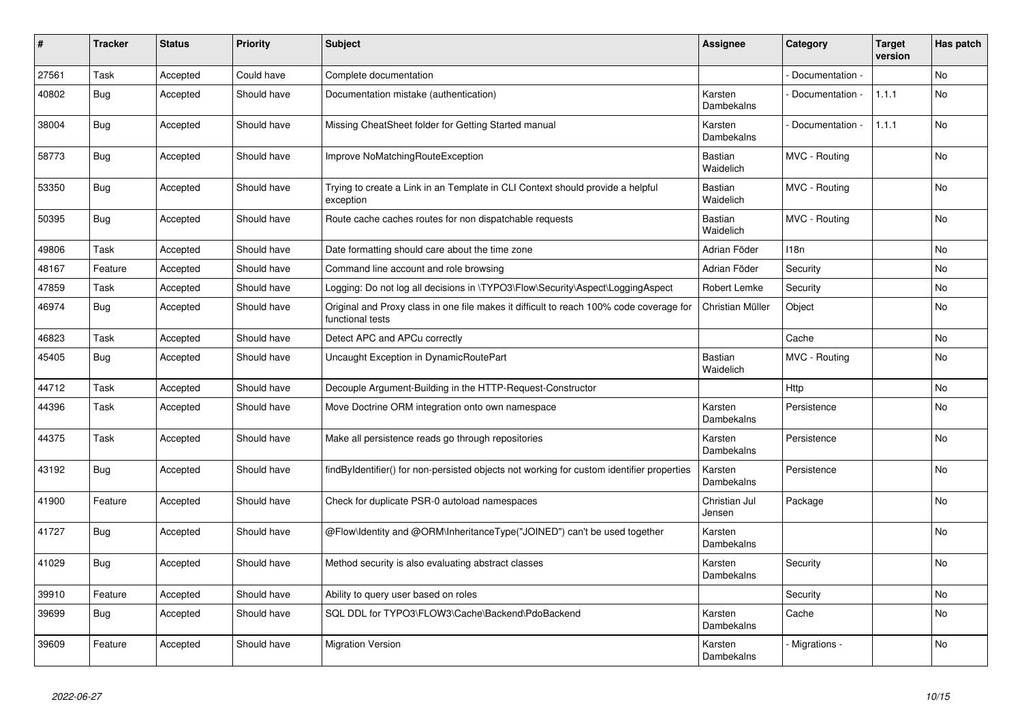| #     | <b>Tracker</b> | <b>Status</b> | <b>Priority</b> | <b>Subject</b>                                                                                              | <b>Assignee</b>         | Category         | <b>Target</b><br>version | Has patch |
|-------|----------------|---------------|-----------------|-------------------------------------------------------------------------------------------------------------|-------------------------|------------------|--------------------------|-----------|
| 27561 | Task           | Accepted      | Could have      | Complete documentation                                                                                      |                         | Documentation -  |                          | <b>No</b> |
| 40802 | Bug            | Accepted      | Should have     | Documentation mistake (authentication)                                                                      | Karsten<br>Dambekalns   | Documentation -  | 1.1.1                    | No        |
| 38004 | <b>Bug</b>     | Accepted      | Should have     | Missing CheatSheet folder for Getting Started manual                                                        | Karsten<br>Dambekalns   | Documentation -  | 1.1.1                    | <b>No</b> |
| 58773 | <b>Bug</b>     | Accepted      | Should have     | Improve NoMatchingRouteException                                                                            | Bastian<br>Waidelich    | MVC - Routing    |                          | No        |
| 53350 | <b>Bug</b>     | Accepted      | Should have     | Trying to create a Link in an Template in CLI Context should provide a helpful<br>exception                 | Bastian<br>Waidelich    | MVC - Routing    |                          | No        |
| 50395 | Bug            | Accepted      | Should have     | Route cache caches routes for non dispatchable requests                                                     | Bastian<br>Waidelich    | MVC - Routing    |                          | No        |
| 49806 | Task           | Accepted      | Should have     | Date formatting should care about the time zone                                                             | Adrian Föder            | 118 <sub>n</sub> |                          | No        |
| 48167 | Feature        | Accepted      | Should have     | Command line account and role browsing                                                                      | Adrian Föder            | Security         |                          | <b>No</b> |
| 47859 | Task           | Accepted      | Should have     | Logging: Do not log all decisions in \TYPO3\Flow\Security\Aspect\LoggingAspect                              | Robert Lemke            | Security         |                          | <b>No</b> |
| 46974 | <b>Bug</b>     | Accepted      | Should have     | Original and Proxy class in one file makes it difficult to reach 100% code coverage for<br>functional tests | Christian Müller        | Object           |                          | <b>No</b> |
| 46823 | Task           | Accepted      | Should have     | Detect APC and APCu correctly                                                                               |                         | Cache            |                          | <b>No</b> |
| 45405 | <b>Bug</b>     | Accepted      | Should have     | Uncaught Exception in DynamicRoutePart                                                                      | Bastian<br>Waidelich    | MVC - Routing    |                          | No        |
| 44712 | Task           | Accepted      | Should have     | Decouple Argument-Building in the HTTP-Request-Constructor                                                  |                         | Http             |                          | <b>No</b> |
| 44396 | Task           | Accepted      | Should have     | Move Doctrine ORM integration onto own namespace                                                            | Karsten<br>Dambekalns   | Persistence      |                          | No        |
| 44375 | Task           | Accepted      | Should have     | Make all persistence reads go through repositories                                                          | Karsten<br>Dambekalns   | Persistence      |                          | No        |
| 43192 | <b>Bug</b>     | Accepted      | Should have     | findByIdentifier() for non-persisted objects not working for custom identifier properties                   | Karsten<br>Dambekalns   | Persistence      |                          | No        |
| 41900 | Feature        | Accepted      | Should have     | Check for duplicate PSR-0 autoload namespaces                                                               | Christian Jul<br>Jensen | Package          |                          | <b>No</b> |
| 41727 | Bug            | Accepted      | Should have     | @Flow\Identity and @ORM\InheritanceType("JOINED") can't be used together                                    | Karsten<br>Dambekalns   |                  |                          | <b>No</b> |
| 41029 | <b>Bug</b>     | Accepted      | Should have     | Method security is also evaluating abstract classes                                                         | Karsten<br>Dambekalns   | Security         |                          | No        |
| 39910 | Feature        | Accepted      | Should have     | Ability to query user based on roles                                                                        |                         | Security         |                          | <b>No</b> |
| 39699 | Bug            | Accepted      | Should have     | SQL DDL for TYPO3\FLOW3\Cache\Backend\PdoBackend                                                            | Karsten<br>Dambekalns   | Cache            |                          | No        |
| 39609 | Feature        | Accepted      | Should have     | <b>Migration Version</b>                                                                                    | Karsten<br>Dambekalns   | Migrations -     |                          | <b>No</b> |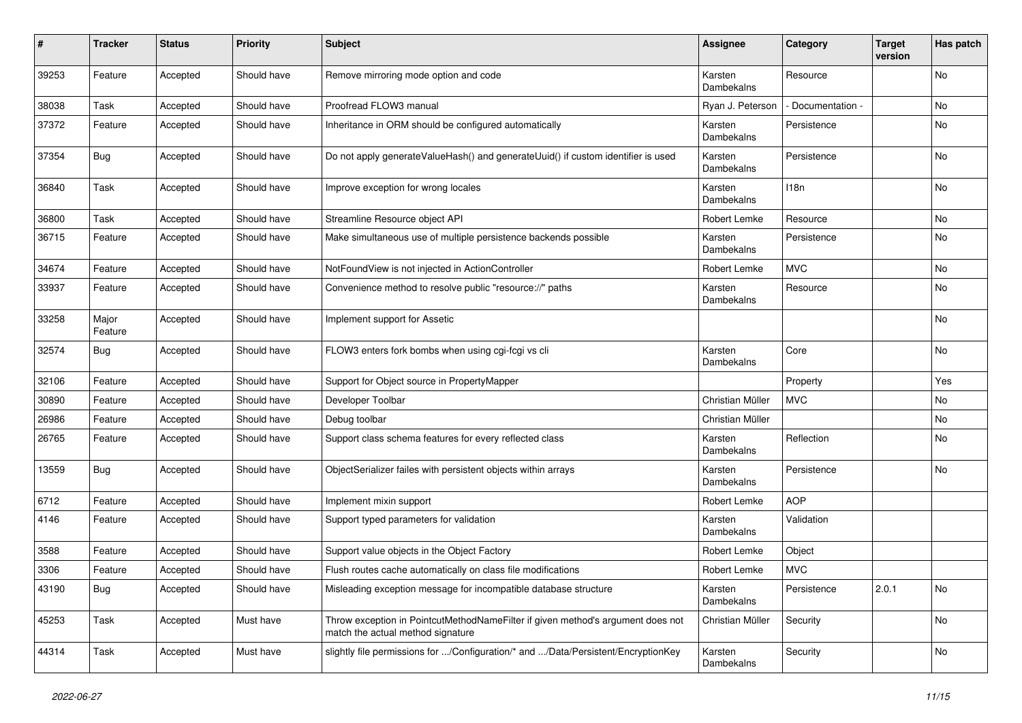| ∦     | <b>Tracker</b>   | <b>Status</b> | <b>Priority</b> | <b>Subject</b>                                                                                                       | <b>Assignee</b>       | Category        | <b>Target</b><br>version | Has patch |
|-------|------------------|---------------|-----------------|----------------------------------------------------------------------------------------------------------------------|-----------------------|-----------------|--------------------------|-----------|
| 39253 | Feature          | Accepted      | Should have     | Remove mirroring mode option and code                                                                                | Karsten<br>Dambekalns | Resource        |                          | No        |
| 38038 | Task             | Accepted      | Should have     | Proofread FLOW3 manual                                                                                               | Ryan J. Peterson      | Documentation - |                          | No        |
| 37372 | Feature          | Accepted      | Should have     | Inheritance in ORM should be configured automatically                                                                | Karsten<br>Dambekalns | Persistence     |                          | No        |
| 37354 | Bug              | Accepted      | Should have     | Do not apply generateValueHash() and generateUuid() if custom identifier is used                                     | Karsten<br>Dambekalns | Persistence     |                          | No        |
| 36840 | Task             | Accepted      | Should have     | Improve exception for wrong locales                                                                                  | Karsten<br>Dambekalns | 118n            |                          | No        |
| 36800 | Task             | Accepted      | Should have     | Streamline Resource object API                                                                                       | Robert Lemke          | Resource        |                          | No        |
| 36715 | Feature          | Accepted      | Should have     | Make simultaneous use of multiple persistence backends possible                                                      | Karsten<br>Dambekalns | Persistence     |                          | No        |
| 34674 | Feature          | Accepted      | Should have     | NotFoundView is not injected in ActionController                                                                     | Robert Lemke          | <b>MVC</b>      |                          | No        |
| 33937 | Feature          | Accepted      | Should have     | Convenience method to resolve public "resource://" paths                                                             | Karsten<br>Dambekalns | Resource        |                          | No        |
| 33258 | Major<br>Feature | Accepted      | Should have     | Implement support for Assetic                                                                                        |                       |                 |                          | No        |
| 32574 | Bug              | Accepted      | Should have     | FLOW3 enters fork bombs when using cgi-fcgi vs cli                                                                   | Karsten<br>Dambekalns | Core            |                          | No        |
| 32106 | Feature          | Accepted      | Should have     | Support for Object source in PropertyMapper                                                                          |                       | Property        |                          | Yes       |
| 30890 | Feature          | Accepted      | Should have     | Developer Toolbar                                                                                                    | Christian Müller      | <b>MVC</b>      |                          | No        |
| 26986 | Feature          | Accepted      | Should have     | Debug toolbar                                                                                                        | Christian Müller      |                 |                          | No        |
| 26765 | Feature          | Accepted      | Should have     | Support class schema features for every reflected class                                                              | Karsten<br>Dambekalns | Reflection      |                          | No        |
| 13559 | Bug              | Accepted      | Should have     | ObjectSerializer failes with persistent objects within arrays                                                        | Karsten<br>Dambekalns | Persistence     |                          | No        |
| 6712  | Feature          | Accepted      | Should have     | Implement mixin support                                                                                              | Robert Lemke          | <b>AOP</b>      |                          |           |
| 4146  | Feature          | Accepted      | Should have     | Support typed parameters for validation                                                                              | Karsten<br>Dambekalns | Validation      |                          |           |
| 3588  | Feature          | Accepted      | Should have     | Support value objects in the Object Factory                                                                          | Robert Lemke          | Object          |                          |           |
| 3306  | Feature          | Accepted      | Should have     | Flush routes cache automatically on class file modifications                                                         | Robert Lemke          | <b>MVC</b>      |                          |           |
| 43190 | Bug              | Accepted      | Should have     | Misleading exception message for incompatible database structure                                                     | Karsten<br>Dambekalns | Persistence     | 2.0.1                    | No        |
| 45253 | Task             | Accepted      | Must have       | Throw exception in PointcutMethodNameFilter if given method's argument does not<br>match the actual method signature | Christian Müller      | Security        |                          | No        |
| 44314 | Task             | Accepted      | Must have       | slightly file permissions for /Configuration/* and /Data/Persistent/EncryptionKey                                    | Karsten<br>Dambekalns | Security        |                          | No        |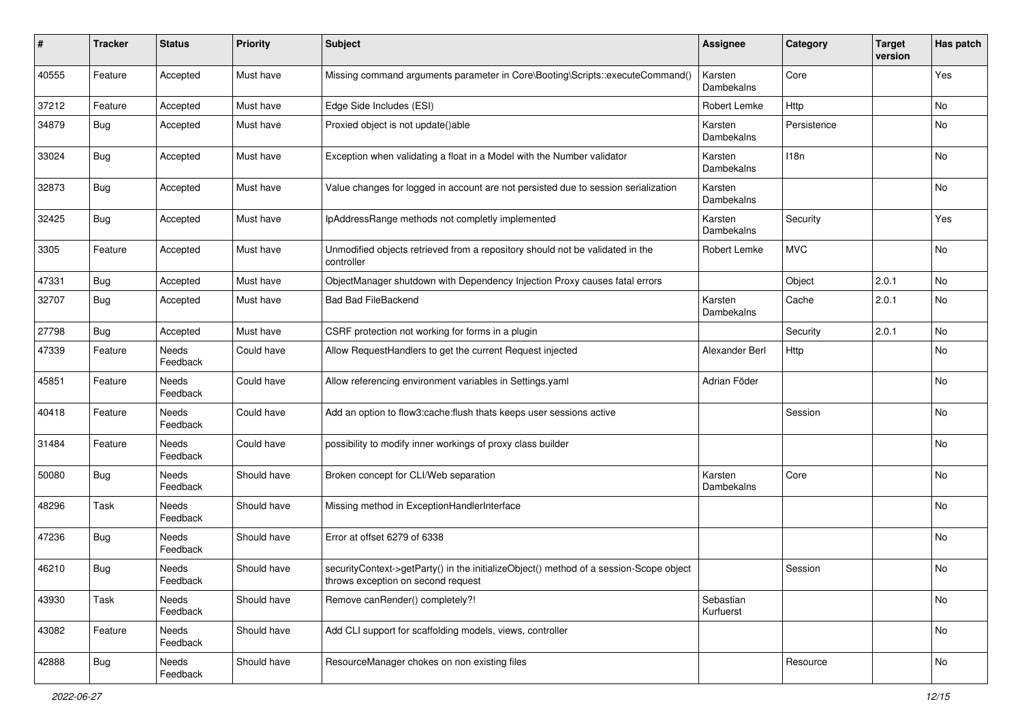| #     | <b>Tracker</b> | <b>Status</b>            | <b>Priority</b> | <b>Subject</b>                                                                                                               | <b>Assignee</b>        | Category    | <b>Target</b><br>version | Has patch |
|-------|----------------|--------------------------|-----------------|------------------------------------------------------------------------------------------------------------------------------|------------------------|-------------|--------------------------|-----------|
| 40555 | Feature        | Accepted                 | Must have       | Missing command arguments parameter in Core\Booting\Scripts::executeCommand()                                                | Karsten<br>Dambekalns  | Core        |                          | Yes       |
| 37212 | Feature        | Accepted                 | Must have       | Edge Side Includes (ESI)                                                                                                     | Robert Lemke           | Http        |                          | No        |
| 34879 | <b>Bug</b>     | Accepted                 | Must have       | Proxied object is not update()able                                                                                           | Karsten<br>Dambekalns  | Persistence |                          | No        |
| 33024 | Bug            | Accepted                 | Must have       | Exception when validating a float in a Model with the Number validator                                                       | Karsten<br>Dambekalns  | 118n        |                          | No        |
| 32873 | Bug            | Accepted                 | Must have       | Value changes for logged in account are not persisted due to session serialization                                           | Karsten<br>Dambekalns  |             |                          | No        |
| 32425 | Bug            | Accepted                 | Must have       | IpAddressRange methods not completly implemented                                                                             | Karsten<br>Dambekalns  | Security    |                          | Yes       |
| 3305  | Feature        | Accepted                 | Must have       | Unmodified objects retrieved from a repository should not be validated in the<br>controller                                  | Robert Lemke           | <b>MVC</b>  |                          | No        |
| 47331 | Bug            | Accepted                 | Must have       | ObjectManager shutdown with Dependency Injection Proxy causes fatal errors                                                   |                        | Object      | 2.0.1                    | No        |
| 32707 | <b>Bug</b>     | Accepted                 | Must have       | <b>Bad Bad FileBackend</b>                                                                                                   | Karsten<br>Dambekalns  | Cache       | 2.0.1                    | No        |
| 27798 | Bug            | Accepted                 | Must have       | CSRF protection not working for forms in a plugin                                                                            |                        | Security    | 2.0.1                    | <b>No</b> |
| 47339 | Feature        | Needs<br>Feedback        | Could have      | Allow RequestHandlers to get the current Request injected                                                                    | Alexander Berl         | Http        |                          | No        |
| 45851 | Feature        | <b>Needs</b><br>Feedback | Could have      | Allow referencing environment variables in Settings.yaml                                                                     | Adrian Föder           |             |                          | No        |
| 40418 | Feature        | Needs<br>Feedback        | Could have      | Add an option to flow3:cache:flush thats keeps user sessions active                                                          |                        | Session     |                          | No        |
| 31484 | Feature        | Needs<br>Feedback        | Could have      | possibility to modify inner workings of proxy class builder                                                                  |                        |             |                          | No        |
| 50080 | <b>Bug</b>     | Needs<br>Feedback        | Should have     | Broken concept for CLI/Web separation                                                                                        | Karsten<br>Dambekalns  | Core        |                          | No        |
| 48296 | Task           | Needs<br>Feedback        | Should have     | Missing method in ExceptionHandlerInterface                                                                                  |                        |             |                          | No        |
| 47236 | Bug            | Needs<br>Feedback        | Should have     | Error at offset 6279 of 6338                                                                                                 |                        |             |                          | No        |
| 46210 | <b>Bug</b>     | Needs<br>Feedback        | Should have     | securityContext->getParty() in the initializeObject() method of a session-Scope object<br>throws exception on second request |                        | Session     |                          | No        |
| 43930 | Task           | Needs<br>Feedback        | Should have     | Remove canRender() completely?!                                                                                              | Sebastian<br>Kurfuerst |             |                          | No        |
| 43082 | Feature        | Needs<br>Feedback        | Should have     | Add CLI support for scaffolding models, views, controller                                                                    |                        |             |                          | No        |
| 42888 | <b>Bug</b>     | Needs<br>Feedback        | Should have     | ResourceManager chokes on non existing files                                                                                 |                        | Resource    |                          | No        |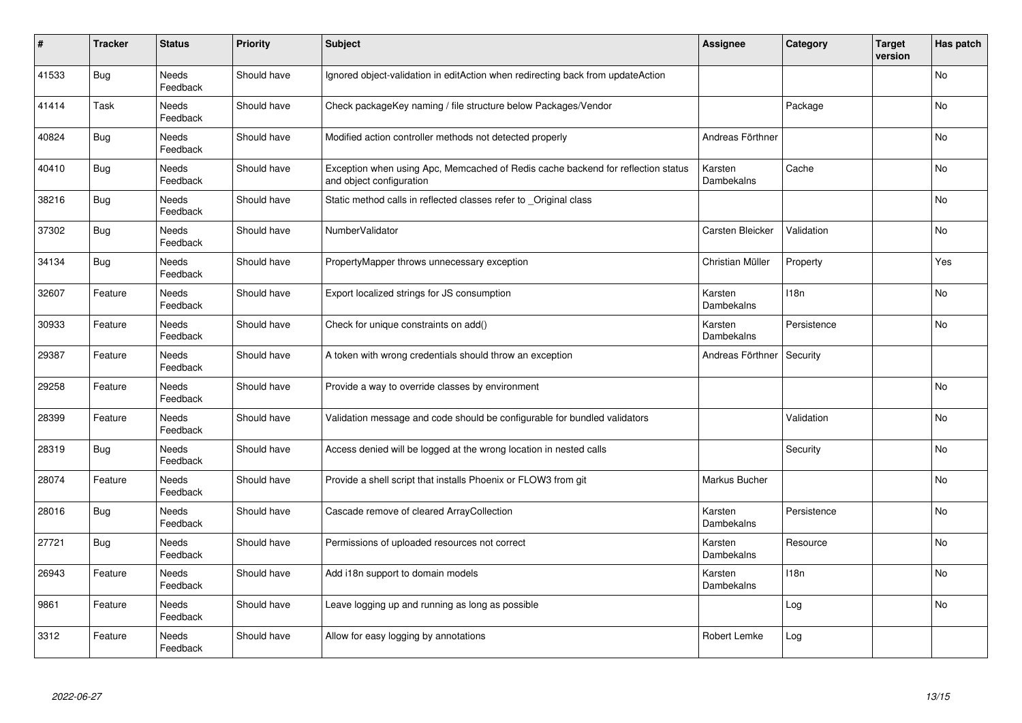| #     | <b>Tracker</b> | <b>Status</b>            | <b>Priority</b> | <b>Subject</b>                                                                                               | <b>Assignee</b>       | Category    | <b>Target</b><br>version | Has patch      |
|-------|----------------|--------------------------|-----------------|--------------------------------------------------------------------------------------------------------------|-----------------------|-------------|--------------------------|----------------|
| 41533 | <b>Bug</b>     | Needs<br>Feedback        | Should have     | Ignored object-validation in editAction when redirecting back from updateAction                              |                       |             |                          | <b>No</b>      |
| 41414 | Task           | Needs<br>Feedback        | Should have     | Check packageKey naming / file structure below Packages/Vendor                                               |                       | Package     |                          | N <sub>o</sub> |
| 40824 | Bug            | Needs<br>Feedback        | Should have     | Modified action controller methods not detected properly                                                     | Andreas Förthner      |             |                          | No             |
| 40410 | <b>Bug</b>     | Needs<br>Feedback        | Should have     | Exception when using Apc, Memcached of Redis cache backend for reflection status<br>and object configuration | Karsten<br>Dambekalns | Cache       |                          | N <sub>o</sub> |
| 38216 | <b>Bug</b>     | Needs<br>Feedback        | Should have     | Static method calls in reflected classes refer to Original class                                             |                       |             |                          | No.            |
| 37302 | <b>Bug</b>     | Needs<br>Feedback        | Should have     | NumberValidator                                                                                              | Carsten Bleicker      | Validation  |                          | N <sub>o</sub> |
| 34134 | <b>Bug</b>     | Needs<br>Feedback        | Should have     | PropertyMapper throws unnecessary exception                                                                  | Christian Müller      | Property    |                          | Yes            |
| 32607 | Feature        | Needs<br>Feedback        | Should have     | Export localized strings for JS consumption                                                                  | Karsten<br>Dambekalns | 118n        |                          | No             |
| 30933 | Feature        | Needs<br>Feedback        | Should have     | Check for unique constraints on add()                                                                        | Karsten<br>Dambekalns | Persistence |                          | No.            |
| 29387 | Feature        | Needs<br>Feedback        | Should have     | A token with wrong credentials should throw an exception                                                     | Andreas Förthner      | Security    |                          |                |
| 29258 | Feature        | Needs<br>Feedback        | Should have     | Provide a way to override classes by environment                                                             |                       |             |                          | No             |
| 28399 | Feature        | Needs<br>Feedback        | Should have     | Validation message and code should be configurable for bundled validators                                    |                       | Validation  |                          | N <sub>o</sub> |
| 28319 | Bug            | Needs<br>Feedback        | Should have     | Access denied will be logged at the wrong location in nested calls                                           |                       | Security    |                          | No             |
| 28074 | Feature        | <b>Needs</b><br>Feedback | Should have     | Provide a shell script that installs Phoenix or FLOW3 from git                                               | Markus Bucher         |             |                          | <b>No</b>      |
| 28016 | Bug            | Needs<br>Feedback        | Should have     | Cascade remove of cleared ArrayCollection                                                                    | Karsten<br>Dambekalns | Persistence |                          | No             |
| 27721 | <b>Bug</b>     | Needs<br>Feedback        | Should have     | Permissions of uploaded resources not correct                                                                | Karsten<br>Dambekalns | Resource    |                          | No             |
| 26943 | Feature        | Needs<br>Feedback        | Should have     | Add i18n support to domain models                                                                            | Karsten<br>Dambekalns | 118n        |                          | No             |
| 9861  | Feature        | Needs<br>Feedback        | Should have     | Leave logging up and running as long as possible                                                             |                       | Log         |                          | <b>No</b>      |
| 3312  | Feature        | Needs<br>Feedback        | Should have     | Allow for easy logging by annotations                                                                        | Robert Lemke          | Log         |                          |                |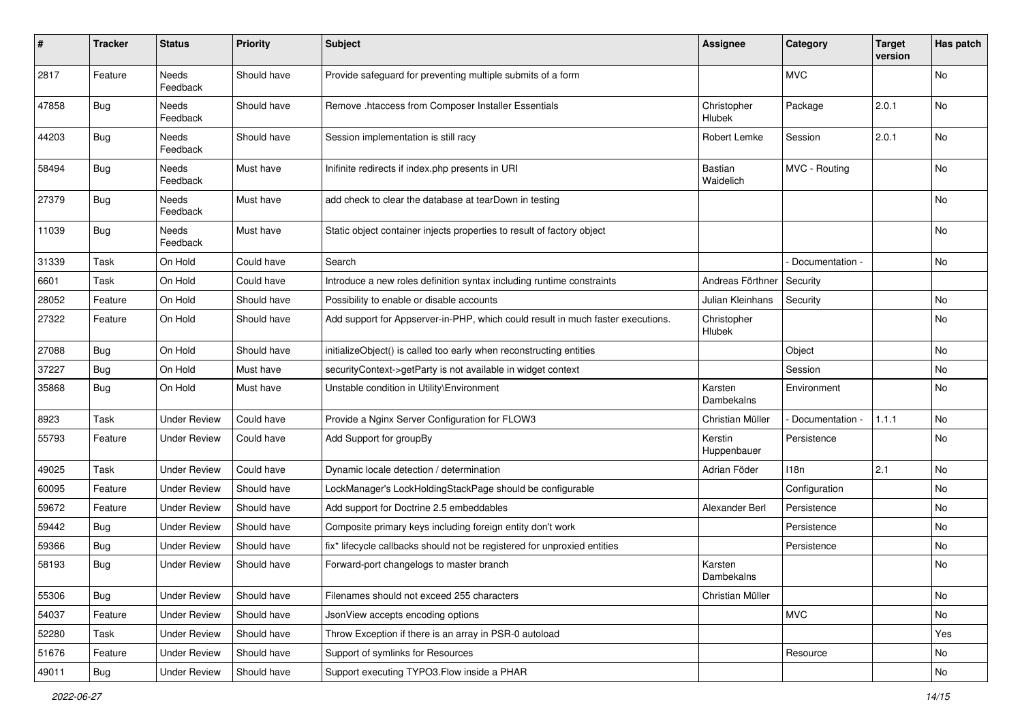| #     | <b>Tracker</b> | <b>Status</b>            | <b>Priority</b> | <b>Subject</b>                                                                  | <b>Assignee</b>             | Category        | <b>Target</b><br>version | Has patch |
|-------|----------------|--------------------------|-----------------|---------------------------------------------------------------------------------|-----------------------------|-----------------|--------------------------|-----------|
| 2817  | Feature        | Needs<br>Feedback        | Should have     | Provide safeguard for preventing multiple submits of a form                     |                             | <b>MVC</b>      |                          | No        |
| 47858 | Bug            | Needs<br>Feedback        | Should have     | Remove .htaccess from Composer Installer Essentials                             | Christopher<br>Hlubek       | Package         | 2.0.1                    | No        |
| 44203 | Bug            | Needs<br>Feedback        | Should have     | Session implementation is still racy                                            | Robert Lemke                | Session         | 2.0.1                    | No        |
| 58494 | Bug            | Needs<br>Feedback        | Must have       | Inifinite redirects if index.php presents in URI                                | <b>Bastian</b><br>Waidelich | MVC - Routing   |                          | No        |
| 27379 | <b>Bug</b>     | <b>Needs</b><br>Feedback | Must have       | add check to clear the database at tearDown in testing                          |                             |                 |                          | No        |
| 11039 | Bug            | Needs<br>Feedback        | Must have       | Static object container injects properties to result of factory object          |                             |                 |                          | <b>No</b> |
| 31339 | Task           | On Hold                  | Could have      | Search                                                                          |                             | Documentation - |                          | No        |
| 6601  | Task           | On Hold                  | Could have      | Introduce a new roles definition syntax including runtime constraints           | Andreas Förthner            | Security        |                          |           |
| 28052 | Feature        | On Hold                  | Should have     | Possibility to enable or disable accounts                                       | Julian Kleinhans            | Security        |                          | No        |
| 27322 | Feature        | On Hold                  | Should have     | Add support for Appserver-in-PHP, which could result in much faster executions. | Christopher<br>Hlubek       |                 |                          | No        |
| 27088 | <b>Bug</b>     | On Hold                  | Should have     | initializeObject() is called too early when reconstructing entities             |                             | Object          |                          | No        |
| 37227 | Bug            | On Hold                  | Must have       | securityContext->getParty is not available in widget context                    |                             | Session         |                          | No        |
| 35868 | <b>Bug</b>     | On Hold                  | Must have       | Unstable condition in Utility\Environment                                       | Karsten<br>Dambekalns       | Environment     |                          | No        |
| 8923  | Task           | <b>Under Review</b>      | Could have      | Provide a Nginx Server Configuration for FLOW3                                  | Christian Müller            | Documentation - | 1.1.1                    | No        |
| 55793 | Feature        | <b>Under Review</b>      | Could have      | Add Support for groupBy                                                         | Kerstin<br>Huppenbauer      | Persistence     |                          | No        |
| 49025 | Task           | <b>Under Review</b>      | Could have      | Dynamic locale detection / determination                                        | Adrian Föder                | 118n            | 2.1                      | No        |
| 60095 | Feature        | <b>Under Review</b>      | Should have     | LockManager's LockHoldingStackPage should be configurable                       |                             | Configuration   |                          | No        |
| 59672 | Feature        | <b>Under Review</b>      | Should have     | Add support for Doctrine 2.5 embeddables                                        | Alexander Berl              | Persistence     |                          | No        |
| 59442 | <b>Bug</b>     | <b>Under Review</b>      | Should have     | Composite primary keys including foreign entity don't work                      |                             | Persistence     |                          | No        |
| 59366 | <b>Bug</b>     | <b>Under Review</b>      | Should have     | fix* lifecycle callbacks should not be registered for unproxied entities        |                             | Persistence     |                          | No        |
| 58193 | Bug            | Under Review             | Should have     | Forward-port changelogs to master branch                                        | Karsten<br>Dambekalns       |                 |                          | No        |
| 55306 | <b>Bug</b>     | <b>Under Review</b>      | Should have     | Filenames should not exceed 255 characters                                      | Christian Müller            |                 |                          | No        |
| 54037 | Feature        | <b>Under Review</b>      | Should have     | JsonView accepts encoding options                                               |                             | <b>MVC</b>      |                          | No        |
| 52280 | Task           | <b>Under Review</b>      | Should have     | Throw Exception if there is an array in PSR-0 autoload                          |                             |                 |                          | Yes       |
| 51676 | Feature        | <b>Under Review</b>      | Should have     | Support of symlinks for Resources                                               |                             | Resource        |                          | No        |
| 49011 | <b>Bug</b>     | <b>Under Review</b>      | Should have     | Support executing TYPO3.Flow inside a PHAR                                      |                             |                 |                          | No        |